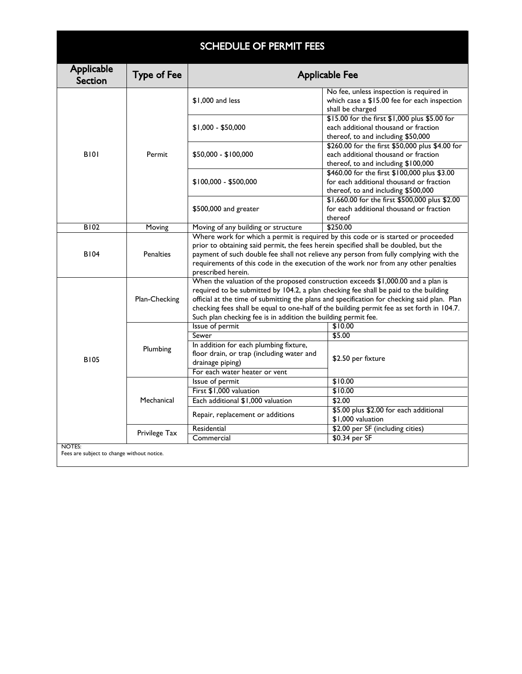| <b>SCHEDULE OF PERMIT FEES</b>                       |                    |                                                                                                                                                                                                                                                                                                                                                                                                                                          |                                                                                                                                 |  |  |
|------------------------------------------------------|--------------------|------------------------------------------------------------------------------------------------------------------------------------------------------------------------------------------------------------------------------------------------------------------------------------------------------------------------------------------------------------------------------------------------------------------------------------------|---------------------------------------------------------------------------------------------------------------------------------|--|--|
| Applicable<br><b>Section</b>                         | <b>Type of Fee</b> | <b>Applicable Fee</b>                                                                                                                                                                                                                                                                                                                                                                                                                    |                                                                                                                                 |  |  |
| <b>B101</b>                                          | Permit             | \$1,000 and less                                                                                                                                                                                                                                                                                                                                                                                                                         | No fee, unless inspection is required in<br>which case a \$15.00 fee for each inspection<br>shall be charged                    |  |  |
|                                                      |                    | $$1,000 - $50,000$                                                                                                                                                                                                                                                                                                                                                                                                                       | \$15.00 for the first \$1,000 plus \$5.00 for<br>each additional thousand or fraction<br>thereof, to and including \$50,000     |  |  |
|                                                      |                    | \$50,000 - \$100,000                                                                                                                                                                                                                                                                                                                                                                                                                     | \$260.00 for the first \$50,000 plus \$4.00 for<br>each additional thousand or fraction<br>thereof, to and including \$100,000  |  |  |
|                                                      |                    | $$100,000 - $500,000$                                                                                                                                                                                                                                                                                                                                                                                                                    | \$460.00 for the first \$100,000 plus \$3.00<br>for each additional thousand or fraction<br>thereof, to and including \$500,000 |  |  |
|                                                      |                    | $$500,000$ and greater                                                                                                                                                                                                                                                                                                                                                                                                                   | \$1,660.00 for the first \$500,000 plus \$2.00<br>for each additional thousand or fraction<br>thereof                           |  |  |
| <b>B102</b>                                          | Moving             | Moving of any building or structure                                                                                                                                                                                                                                                                                                                                                                                                      | \$250.00                                                                                                                        |  |  |
| <b>B104</b>                                          | <b>Penalties</b>   | Where work for which a permit is required by this code or is started or proceeded<br>prior to obtaining said permit, the fees herein specified shall be doubled, but the<br>payment of such double fee shall not relieve any person from fully complying with the<br>requirements of this code in the execution of the work nor from any other penalties<br>prescribed herein.                                                           |                                                                                                                                 |  |  |
|                                                      | Plan-Checking      | When the valuation of the proposed construction exceeds $$1,000.00$ and a plan is<br>required to be submitted by 104.2, a plan checking fee shall be paid to the building<br>official at the time of submitting the plans and specification for checking said plan. Plan<br>checking fees shall be equal to one-half of the building permit fee as set forth in 104.7.<br>Such plan checking fee is in addition the building permit fee. |                                                                                                                                 |  |  |
|                                                      | Plumbing           | Issue of permit                                                                                                                                                                                                                                                                                                                                                                                                                          | \$10.00                                                                                                                         |  |  |
| <b>B105</b>                                          |                    | Sewer                                                                                                                                                                                                                                                                                                                                                                                                                                    | \$5.00                                                                                                                          |  |  |
|                                                      |                    | In addition for each plumbing fixture,<br>floor drain, or trap (including water and<br>drainage piping)<br>For each water heater or vent                                                                                                                                                                                                                                                                                                 | \$2.50 per fixture                                                                                                              |  |  |
|                                                      | Mechanical         | Issue of permit                                                                                                                                                                                                                                                                                                                                                                                                                          | \$10.00                                                                                                                         |  |  |
|                                                      |                    | First \$1,000 valuation                                                                                                                                                                                                                                                                                                                                                                                                                  | \$10.00                                                                                                                         |  |  |
|                                                      |                    | Each additional \$1,000 valuation                                                                                                                                                                                                                                                                                                                                                                                                        | \$2.00                                                                                                                          |  |  |
|                                                      |                    | Repair, replacement or additions                                                                                                                                                                                                                                                                                                                                                                                                         | \$5.00 plus \$2.00 for each additional<br>\$1,000 valuation                                                                     |  |  |
|                                                      | Privilege Tax      | Residential                                                                                                                                                                                                                                                                                                                                                                                                                              | \$2.00 per SF (including cities)                                                                                                |  |  |
|                                                      |                    | Commercial                                                                                                                                                                                                                                                                                                                                                                                                                               | \$0.34 per SF                                                                                                                   |  |  |
| NOTES:<br>Fees are subject to change without notice. |                    |                                                                                                                                                                                                                                                                                                                                                                                                                                          |                                                                                                                                 |  |  |